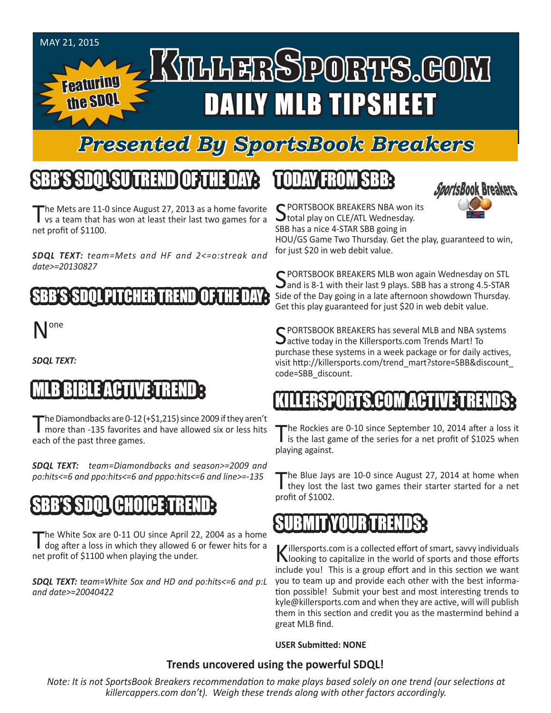

### *Presented By SportsBook Breakers*

#### SBB'S SDQLSU TREND OF THE DAY:

The Mets are 11-0 since August 27, 2013 as a home favorite<br>vs a team that has won at least their last two games for a net profit of \$1100.

*SDQL TEXT: team=Mets and HF and 2<=o:streak and date>=20130827*

#### BESDAL PITCHER TREND OF THE DAY

#### one

*SDQL TEXT:* 

#### MLB BIBLE ACTIVE TREND :

The Diamondbacks are 0-12 (+\$1,215) since 2009 if they aren't<br>more than -135 favorites and have allowed six or less hits each of the past three games.

*SDQL TEXT: team=Diamondbacks and season>=2009 and po:hits<=6 and ppo:hits<=6 and pppo:hits<=6 and line>=-135*

## SBB'S SDQL CHOICE TREND:

The White Sox are 0-11 OU since April 22, 2004 as a home dog after a loss in which they allowed 6 or fewer hits for a net profit of \$1100 when playing the under.

*SDQL TEXT: team=White Sox and HD and po:hits<=6 and p:L and date>=20040422*

#### TODAY FROM SBB:



C PORTSBOOK BREAKERS NBA won its **J** total play on CLE/ATL Wednesday. SBB has a nice 4-STAR SBB going in

HOU/GS Game Two Thursday. Get the play, guaranteed to win, for just \$20 in web debit value.

SPORTSBOOK BREAKERS MLB won again Wednesday on STL<br>and is 8-1 with their last 9 plays. SBB has a strong 4.5-STAR Side of the Day going in a late afternoon showdown Thursday. Get this play guaranteed for just \$20 in web debit value.

C PORTSBOOK BREAKERS has several MLB and NBA systems **Jactive today in the Killersports.com Trends Mart! To** purchase these systems in a week package or for daily actives, visit http://killersports.com/trend\_mart?store=SBB&discount\_ code=SBB\_discount.

#### RTS.COM ACT

The Rockies are 0-10 since September 10, 2014 after a loss it is the last game of the series for a net profit of \$1025 when playing against.

The Blue Jays are 10-0 since August 27, 2014 at home when<br>they lost the last two games their starter started for a net profit of \$1002.

#### SUBMIT YOUR TRENDS:

Killersports.com is a collected effort of smart, savvy individuals looking to capitalize in the world of sports and those efforts include you! This is a group effort and in this section we want you to team up and provide each other with the best information possible! Submit your best and most interesting trends to kyle@killersports.com and when they are active, will will publish them in this section and credit you as the mastermind behind a great MLB find.

#### **USER Submitted: NONE**

#### **Trends uncovered using the powerful SDQL!**

*Note: It is not SportsBook Breakers recommendation to make plays based solely on one trend (our selections at killercappers.com don't). Weigh these trends along with other factors accordingly.*